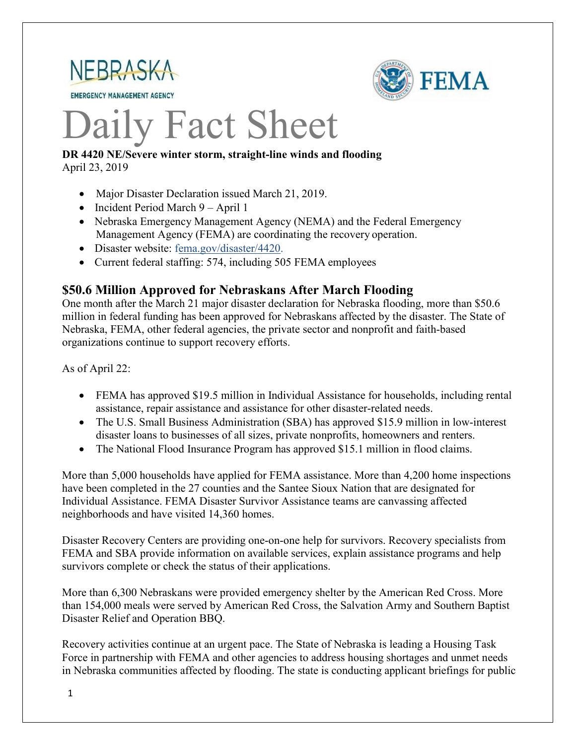

**EMERGENCY MANAGEMENT AGENCY** 



# Daily Fact Sheet

#### **DR 4420 NE/Severe winter storm, straight-line winds and flooding** April 23, 2019

- Major Disaster Declaration issued March 21, 2019.
- Incident Period March 9 April 1
- Nebraska Emergency Management Agency (NEMA) and the Federal Emergency Management Agency (FEMA) are coordinating the recovery operation.
- Disaster website: [fema.gov/disaster/4420.](https://www.fema.gov/disaster/4420)
- Current federal staffing: 574, including 505 FEMA employees

#### **\$50.6 Million Approved for Nebraskans After March Flooding**

One month after the March 21 major disaster declaration for Nebraska flooding, more than \$50.6 million in federal funding has been approved for Nebraskans affected by the disaster. The State of Nebraska, FEMA, other federal agencies, the private sector and nonprofit and faith-based organizations continue to support recovery efforts.

As of April 22:

- FEMA has approved \$19.5 million in Individual Assistance for households, including rental assistance, repair assistance and assistance for other disaster-related needs.
- The U.S. Small Business Administration (SBA) has approved \$15.9 million in low-interest disaster loans to businesses of all sizes, private nonprofits, homeowners and renters.
- The National Flood Insurance Program has approved \$15.1 million in flood claims.

More than 5,000 households have applied for FEMA assistance. More than 4,200 home inspections have been completed in the 27 counties and the Santee Sioux Nation that are designated for Individual Assistance. FEMA Disaster Survivor Assistance teams are canvassing affected neighborhoods and have visited 14,360 homes.

Disaster Recovery Centers are providing one-on-one help for survivors. Recovery specialists from FEMA and SBA provide information on available services, explain assistance programs and help survivors complete or check the status of their applications.

More than 6,300 Nebraskans were provided emergency shelter by the American Red Cross. More than 154,000 meals were served by American Red Cross, the Salvation Army and Southern Baptist Disaster Relief and Operation BBQ.

Recovery activities continue at an urgent pace. The State of Nebraska is leading a Housing Task Force in partnership with FEMA and other agencies to address housing shortages and unmet needs in Nebraska communities affected by flooding. The state is conducting applicant briefings for public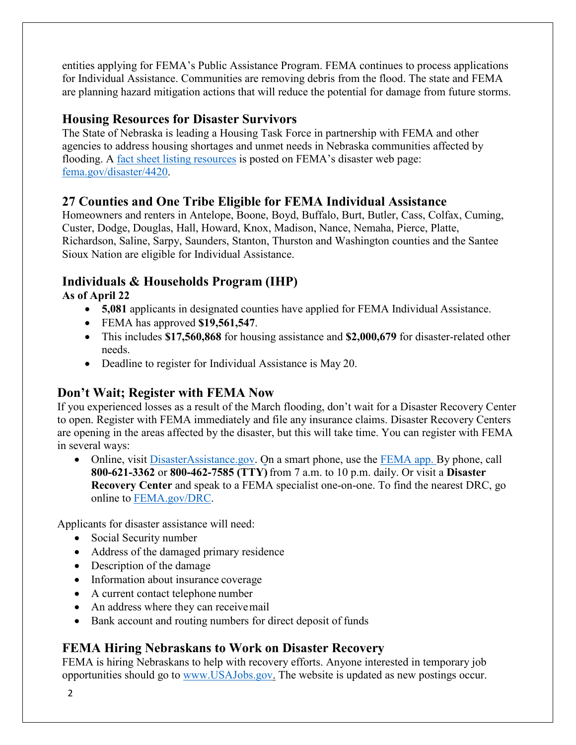entities applying for FEMA's Public Assistance Program. FEMA continues to process applications for Individual Assistance. Communities are removing debris from the flood. The state and FEMA are planning hazard mitigation actions that will reduce the potential for damage from future storms.

## **Housing Resources for Disaster Survivors**

The State of Nebraska is leading a Housing Task Force in partnership with FEMA and other agencies to address housing shortages and unmet needs in Nebraska communities affected by flooding. A [fact sheet listing resources](https://edit.fema.gov/news-release/2019/04/19/fact-sheet-housing-resources-residents-nebraska-affected-march-storms-0) is posted on FEMA's disaster web page: [fema.gov/disaster/4420.](http://www.fema.gov/disaster/4420)

#### **27 Counties and One Tribe Eligible for FEMA Individual Assistance**

Homeowners and renters in Antelope, Boone, Boyd, Buffalo, Burt, Butler, Cass, Colfax, Cuming, Custer, Dodge, Douglas, Hall, Howard, Knox, Madison, Nance, Nemaha, Pierce, Platte, Richardson, Saline, Sarpy, Saunders, Stanton, Thurston and Washington counties and the Santee Sioux Nation are eligible for Individual Assistance.

## **Individuals & Households Program (IHP)**

**As of April 22**

- **5,081** applicants in designated counties have applied for FEMA Individual Assistance.
- FEMA has approved **\$19,561,547**.
- This includes **\$17,560,868** for housing assistance and **\$2,000,679** for disaster-related other needs.
- Deadline to register for Individual Assistance is May 20.

## **Don't Wait; Register with FEMA Now**

If you experienced losses as a result of the March flooding, don't wait for a Disaster Recovery Center to open. Register with FEMA immediately and file any insurance claims. Disaster Recovery Centers are opening in the areas affected by the disaster, but this will take time. You can register with FEMA in several ways:

• Online, visit [DisasterAssistance.gov.](https://disasterassistance.gov/) On a smart phone, use the [FEMA app.](https://www.fema.gov/mobile-app) By phone, call **800-621-3362** or **800-462-7585 (TTY)** from 7 a.m. to 10 p.m. daily. Or visit a **Disaster Recovery Center** and speak to a FEMA specialist one-on-one. To find the nearest DRC, go online to [FEMA.gov/DRC.](http://www.fema.gov/DRC)

Applicants for disaster assistance will need:

- Social Security number
- Address of the damaged primary residence
- Description of the damage
- Information about insurance coverage
- A current contact telephone number
- An address where they can receive mail
- Bank account and routing numbers for direct deposit of funds

## **FEMA Hiring Nebraskans to Work on Disaster Recovery**

FEMA is hiring Nebraskans to help with recovery efforts. Anyone interested in temporary job opportunities should go to [www.USAJobs.gov.](http://www.usajobs.gov/) The website is updated as new postings occur.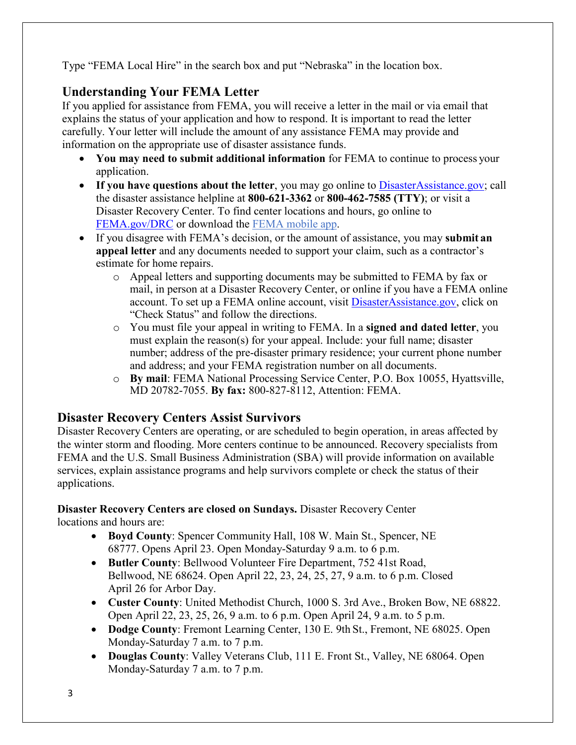Type "FEMA Local Hire" in the search box and put "Nebraska" in the location box.

# **Understanding Your FEMA Letter**

If you applied for assistance from FEMA, you will receive a letter in the mail or via email that explains the status of your application and how to respond. It is important to read the letter carefully. Your letter will include the amount of any assistance FEMA may provide and information on the appropriate use of disaster assistance funds.

- **You may need to submit additional information** for FEMA to continue to process your application.
- If you have questions about the letter, you may go online to [DisasterAssistance.gov;](http://www.disasterassistance.gov/) call the disaster assistance helpline at **800-621-3362** or **800-462-7585 (TTY)**; or visit a Disaster Recovery Center. To find center locations and hours, go online t[o](https://www.fema.gov/disaster-recovery-centers) [FEMA.gov/DRC](https://www.fema.gov/disaster-recovery-centers) or download the [FEMA mobile](https://www.fema.gov/mobile-app) app.
- If you disagree with FEMA's decision, or the amount of assistance, you may **submit an appeal letter** and any documents needed to support your claim, such as a contractor's estimate for home repairs.
	- o Appeal letters and supporting documents may be submitted to FEMA by fax or mail, in person at a Disaster Recovery Center, or online if you have a FEMA online account. To set up a FEMA online account, visit [DisasterAssistance.gov, c](http://www.disasterassistance.gov/)lick on "Check Status" and follow the directions.
	- o You must file your appeal in writing to FEMA. In a **signed and dated letter**, you must explain the reason(s) for your appeal. Include: your full name; disaster number; address of the pre-disaster primary residence; your current phone number and address; and your FEMA registration number on all documents.
	- o **By mail**: FEMA National Processing Service Center, P.O. Box 10055, Hyattsville, MD 20782-7055. **By fax:** 800-827-8112, Attention: FEMA.

## **Disaster Recovery Centers Assist Survivors**

Disaster Recovery Centers are operating, or are scheduled to begin operation, in areas affected by the winter storm and flooding. More centers continue to be announced. Recovery specialists from FEMA and the U.S. Small Business Administration (SBA) will provide information on available services, explain assistance programs and help survivors complete or check the status of their applications.

#### **Disaster Recovery Centers are closed on Sundays.** Disaster Recovery Center locations and hours are:

- **Boyd County**: Spencer Community Hall, 108 W. Main St., Spencer, NE 68777. Opens April 23. Open Monday-Saturday 9 a.m. to 6 p.m.
- **Butler County**: Bellwood Volunteer Fire Department, 752 41st Road, Bellwood, NE 68624. Open April 22, 23, 24, 25, 27, 9 a.m. to 6 p.m. Closed April 26 for Arbor Day.
- **Custer County**: United Methodist Church, 1000 S. 3rd Ave., Broken Bow, NE 68822. Open April 22, 23, 25, 26, 9 a.m. to 6 p.m. Open April 24, 9 a.m. to 5 p.m.
- **Dodge County**: Fremont Learning Center, 130 E. 9th St., Fremont, NE 68025. Open Monday-Saturday 7 a.m. to 7 p.m.
- **Douglas County**: Valley Veterans Club, 111 E. Front St., Valley, NE 68064. Open Monday-Saturday 7 a.m. to 7 p.m.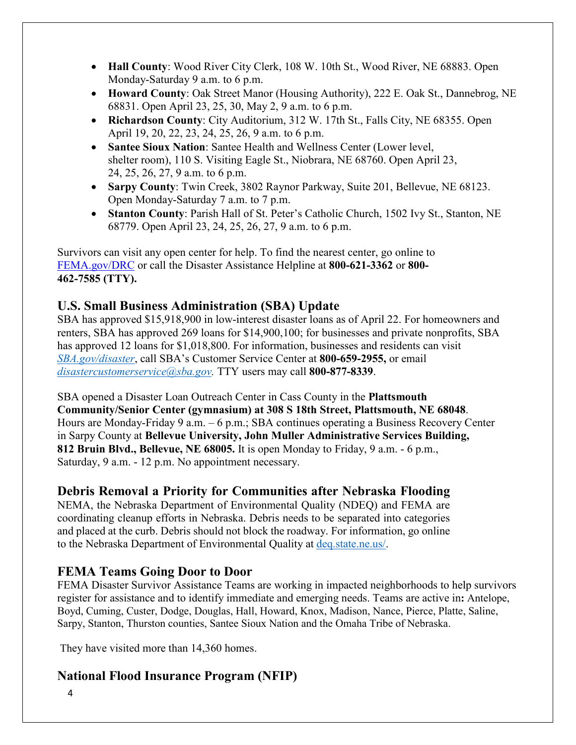- **Hall County**: Wood River City Clerk, 108 W. 10th St., Wood River, NE 68883. Open Monday-Saturday 9 a.m. to 6 p.m.
- **Howard County**: Oak Street Manor (Housing Authority), 222 E. Oak St., Dannebrog, NE 68831. Open April 23, 25, 30, May 2, 9 a.m. to 6 p.m.
- **Richardson County**: City Auditorium, 312 W. 17th St., Falls City, NE 68355. Open April 19, 20, 22, 23, 24, 25, 26, 9 a.m. to 6 p.m.
- **Santee Sioux Nation**: Santee Health and Wellness Center (Lower level, shelter room), 110 S. Visiting Eagle St., Niobrara, NE 68760. Open April 23, 24, 25, 26, 27, 9 a.m. to 6 p.m.
- **Sarpy County**: Twin Creek, 3802 Raynor Parkway, Suite 201, Bellevue, NE 68123. Open Monday-Saturday 7 a.m. to 7 p.m.
- **Stanton County**: Parish Hall of St. Peter's Catholic Church, 1502 Ivy St., Stanton, NE 68779. Open April 23, 24, 25, 26, 27, 9 a.m. to 6 p.m.

Survivors can visit any open center for help. To find the nearest center, go online to [FEMA.gov/DRC](http://www.fema.gov/DRC) or call the Disaster Assistance Helpline at **800-621-3362** or **800- 462-7585 (TTY).**

#### **U.S. Small Business Administration (SBA) Update**

SBA has approved \$15,918,900 in low-interest disaster loans as of April 22. For homeowners and renters, SBA has approved 269 loans for \$14,900,100; for businesses and private nonprofits, SBA has approved 12 loans for \$1,018,800. For information, businesses and residents can visit *[SBA.gov/disaster](http://www.sba.gov/disaster)*, call SBA's Customer Service Center at **800-659-2955,** or email *[disastercustomerservice@sba.gov.](mailto:disastercustomerservice@sba.gov)* TTY users may call **800-877-8339**.

SBA opened a Disaster Loan Outreach Center in Cass County in the **Plattsmouth Community/Senior Center (gymnasium) at 308 S 18th Street, Plattsmouth, NE 68048**. Hours are Monday-Friday 9 a.m. – 6 p.m.; SBA continues operating a Business Recovery Center in Sarpy County at **Bellevue University, John Muller Administrative Services Building, 812 Bruin Blvd., Bellevue, NE 68005.** It is open Monday to Friday, 9 a.m. - 6 p.m., Saturday, 9 a.m. - 12 p.m. No appointment necessary.

#### **Debris Removal a Priority for Communities after Nebraska Flooding**

NEMA, the Nebraska Department of Environmental Quality (NDEQ) and FEMA are coordinating cleanup efforts in Nebraska. Debris needs to be separated into categories and placed at the curb. Debris should not block the roadway. For information, go online to the Nebraska Department of Environmental Quality at [deq.state.ne.us/.](http://www.deq.state.ne.us/)

#### **FEMA Teams Going Door to Door**

FEMA Disaster Survivor Assistance Teams are working in impacted neighborhoods to help survivors register for assistance and to identify immediate and emerging needs. Teams are active in**:** Antelope, Boyd, Cuming, Custer, Dodge, Douglas, Hall, Howard, Knox, Madison, Nance, Pierce, Platte, Saline, Sarpy, Stanton, Thurston counties, Santee Sioux Nation and the Omaha Tribe of Nebraska.

They have visited more than 14,360 homes.

#### **National Flood Insurance Program (NFIP)**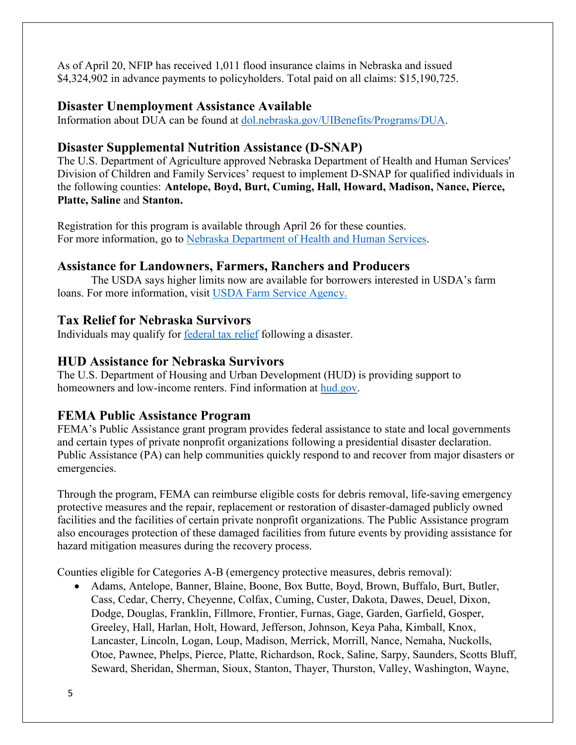As of April 20, NFIP has received 1,011 flood insurance claims in Nebraska and issued \$4,324,902 in advance payments to policyholders. Total paid on all claims: \$15,190,725.

#### **Disaster Unemployment Assistance Available**

Information about DUA can be found at [dol.nebraska.gov/UIBenefits/Programs/DUA.](https://dol.nebraska.gov/UIBenefits/Programs/DUA)

#### **Disaster Supplemental Nutrition Assistance (D-SNAP)**

The U.S. Department of Agriculture approved Nebraska Department of Health and Human Services' Division of Children and Family Services' request to implement D-SNAP for qualified individuals in the following counties: **Antelope, Boyd, Burt, Cuming, Hall, Howard, Madison, Nance, Pierce, Platte, Saline** and **Stanton.**

Registration for this program is available through April 26 for these counties. For more information, go to [Nebraska Department of Health and Human Services.](http://dhhs.ne.gov/Pages/Residents-of-12-More-Nebraska-Counties-Are-Eligible-for-Disaster-SNAP.aspx)

#### **Assistance for Landowners, Farmers, Ranchers and Producers**

The USDA says higher limits now are available for borrowers interested in USDA's farm loans. For more information, visit [USDA Farm Service Agency.](https://www.fsa.usda.gov/)

#### **Tax Relief for Nebraska Survivors**

Individuals may qualify for federal tax relief [following a disaster.](https://www.irs.gov/newsroom/irs-announces-tax-relief-for-nebraska-victims-of-severe-winter-storm-straight-line-winds-and-flooding)

#### **HUD Assistance for Nebraska Survivors**

The U.S. Department of Housing and Urban Development (HUD) is providing support to homeowners and low-income renters. Find information at [hud.gov.](https://www.hud.gov/)

#### **FEMA Public Assistance Program**

FEMA's Public Assistance grant program provides federal assistance to state and local governments and certain types of private nonprofit organizations following a presidential disaster declaration. Public Assistance (PA) can help communities quickly respond to and recover from major disasters or emergencies.

Through the program, FEMA can reimburse eligible costs for debris removal, life-saving emergency protective measures and the repair, replacement or restoration of disaster-damaged publicly owned facilities and the facilities of certain private nonprofit organizations. The Public Assistance program also encourages protection of these damaged facilities from future events by providing assistance for hazard mitigation measures during the recovery process.

Counties eligible for Categories A-B (emergency protective measures, debris removal):

• Adams, Antelope, Banner, Blaine, Boone, Box Butte, Boyd, Brown, Buffalo, Burt, Butler, Cass, Cedar, Cherry, Cheyenne, Colfax, Cuming, Custer, Dakota, Dawes, Deuel, Dixon, Dodge, Douglas, Franklin, Fillmore, Frontier, Furnas, Gage, Garden, Garfield, Gosper, Greeley, Hall, Harlan, Holt, Howard, Jefferson, Johnson, Keya Paha, Kimball, Knox, Lancaster, Lincoln, Logan, Loup, Madison, Merrick, Morrill, Nance, Nemaha, Nuckolls, Otoe, Pawnee, Phelps, Pierce, Platte, Richardson, Rock, Saline, Sarpy, Saunders, Scotts Bluff, Seward, Sheridan, Sherman, Sioux, Stanton, Thayer, Thurston, Valley, Washington, Wayne,